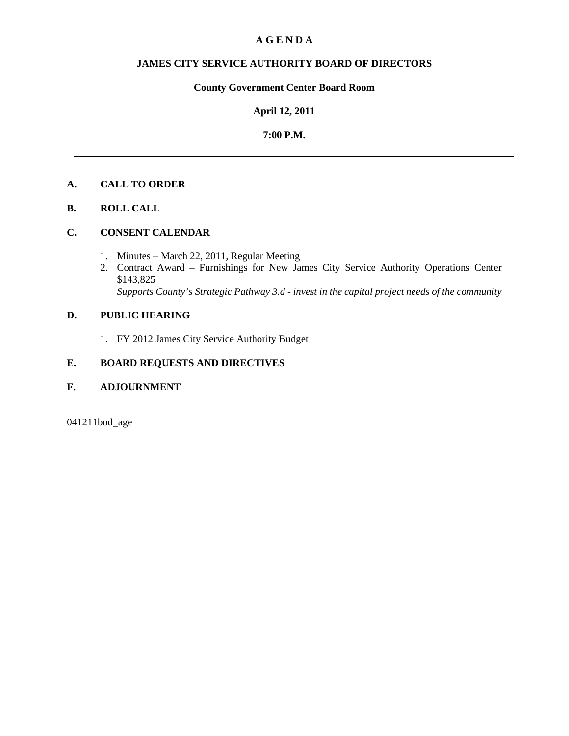### **A G E N D A**

## **JAMES CITY SERVICE AUTHORITY BOARD OF DIRECTORS**

# **County Government Center Board Room**

### **April 12, 2011**

## **7:00 P.M.**

# **A. CALL TO ORDER**

### **B. ROLL CALL**

## **C. CONSENT CALENDAR**

- 1. Minutes March 22, 2011, Regular Meeting
- 2. Contract Award Furnishings for New James City Service Authority Operations Center \$143,825 *Supports County's Strategic Pathway 3.d - invest in the capital project needs of the community*

### **D. PUBLIC HEARING**

1. FY 2012 James City Service Authority Budget

## **E. BOARD REQUESTS AND DIRECTIVES**

## **F. ADJOURNMENT**

041211bod\_age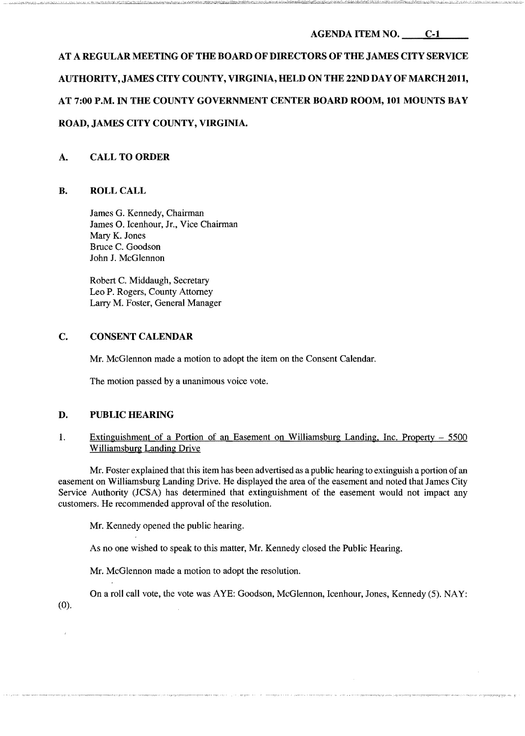# AGENDA ITEM NO. <u>C-1</u>

# **AT A REGULAR MEETING OF THE BOARD OF DIRECTORS OF THE JAMES CITY SERVICE AUTHORITY, JAMES CITY COUNTY, VIRGINIA, HELD ON THE 22ND DAY OF MARCH 2011, AT 7:00 P.M. IN THE COUNTY GOVERNMENT CENTER BOARD ROOM, 101 MOUNTS BAY ROAD, JAMES CITY COUNTY, VIRGINIA.**

## **A. CALL TO ORDER**

### **B. ROLLCALL**

James G. Kennedy, Chairman James O. Icenhour, Jr., Vice Chairman Mary K. Jones Bruce C. Goodson John J. McGlennon

Robert C. Middaugh, Secretary Leo P. Rogers, County Attorney Larry M. Foster, General Manager

### **C. CONSENT CALENDAR**

Mr. McGlennon made a motion to adopt the item on the Consent Calendar.

The motion passed by a unanimous voice vote.

### **D. PUBLIC HEARING**

### 1. Extinguishment of a Portion of an Easement on Williamsburg Landing, Inc. Property - 5500 Williamsburg Landing Drive

Mr. Foster explained that this item has been advertised as a public hearing to extinguish a portion of an easement on Williamsburg Landing Drive. He displayed the area of the easement and noted that James City Service Authority (JCSA) has determined that extinguishment of the easement would not impact any customers. He recommended approval of the resolution.

Mr. Kennedy opened the public hearing.

As no one wished to speak to this matter, Mr. Kennedy closed the Public Hearing.

Mr. McGlennon made a motion to adopt the resolution.

On a roll call vote, the vote was AYE: Goodson, McGlennon, Icenhour, Jones, Kennedy (5). NAY:

(0).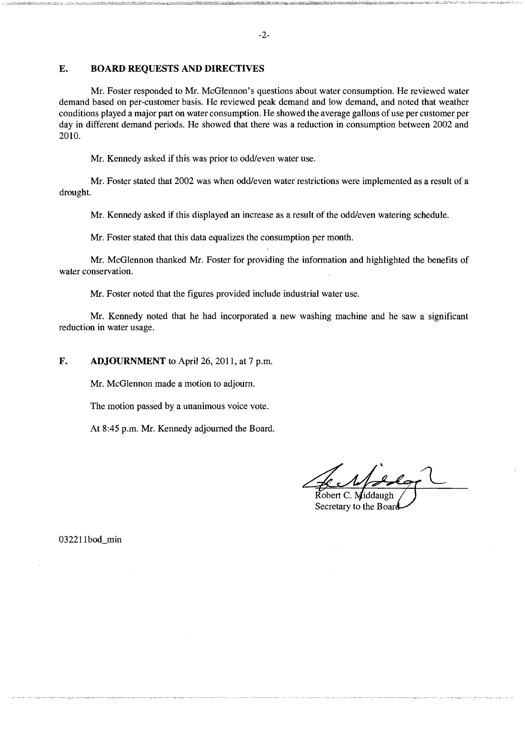### E. BOARD REQUESTS AND DIRECTIVES

Mr. Foster responded to Mr. McGlennon's questions about water consumption. He reviewed water demand based on per-customer basis. He reviewed peak demand and low demand, and noted that weather conditions played a major part on water consumption. He showed the average gallons of use per customer per day in different demand periods. He showed that there was a reduction in consumption between 2002 and 2010.

Mr. Kennedy asked if this was prior to odd/even water use.

Mr. Foster stated that 2002 was when odd/even water restrictions were implemented as a result of a drought.

Mr. Kennedy asked if this displayed an increase as a result of the odd/even watering schedule.

Mr. Foster stated that this data equalizes the consumption per month.

Mr. McGlennon thanked Mr. Foster for providing the information and highlighted the benefits of water conservation.

Mr. Foster noted that the figures provided include industrial water use.

Mr. Kennedy noted that he had incorporated a new washing machine and he saw a significant reduction in water usage.

F. ADJOURNMENT to April 26, 2011, at 7 p.m.

Mr. McGlennon made a motion to adjourn.

The motion passed by a unanimous voice vote.

At 8:45 p.m. Mr. Kennedy adjourned the Board.

Robert C. Middaugh

Secretary to the Board

032211bod\_min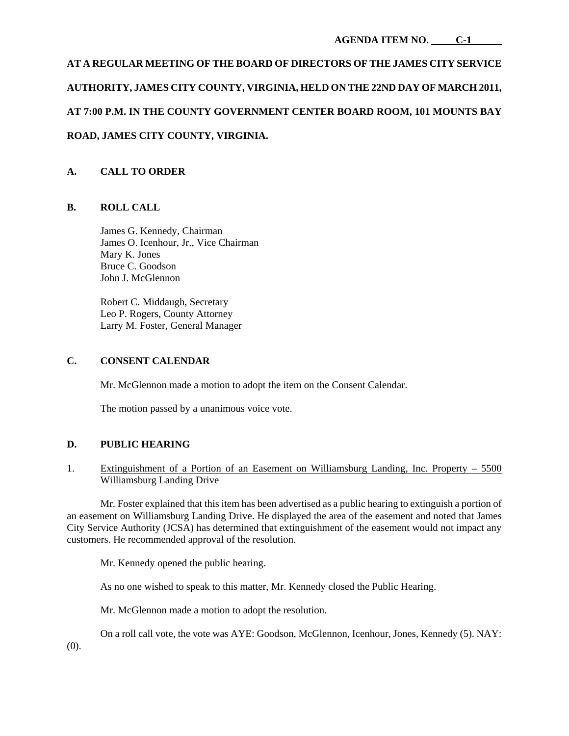# **AT A REGULAR MEETING OF THE BOARD OF DIRECTORS OF THE JAMES CITY SERVICE AUTHORITY, JAMES CITY COUNTY, VIRGINIA, HELD ON THE 22ND DAY OF MARCH 2011, AT 7:00 P.M. IN THE COUNTY GOVERNMENT CENTER BOARD ROOM, 101 MOUNTS BAY ROAD, JAMES CITY COUNTY, VIRGINIA.**

# **A. CALL TO ORDER**

## **B. ROLL CALL**

James G. Kennedy, Chairman James O. Icenhour, Jr., Vice Chairman Mary K. Jones Bruce C. Goodson John J. McGlennon

Robert C. Middaugh, Secretary Leo P. Rogers, County Attorney Larry M. Foster, General Manager

### **C. CONSENT CALENDAR**

Mr. McGlennon made a motion to adopt the item on the Consent Calendar.

The motion passed by a unanimous voice vote.

### **D. PUBLIC HEARING**

### 1. Extinguishment of a Portion of an Easement on Williamsburg Landing, Inc. Property – 5500 Williamsburg Landing Drive

 Mr. Foster explained that this item has been advertised as a public hearing to extinguish a portion of an easement on Williamsburg Landing Drive. He displayed the area of the easement and noted that James City Service Authority (JCSA) has determined that extinguishment of the easement would not impact any customers. He recommended approval of the resolution.

Mr. Kennedy opened the public hearing.

As no one wished to speak to this matter, Mr. Kennedy closed the Public Hearing.

Mr. McGlennon made a motion to adopt the resolution.

On a roll call vote, the vote was AYE: Goodson, McGlennon, Icenhour, Jones, Kennedy (5). NAY:

(0).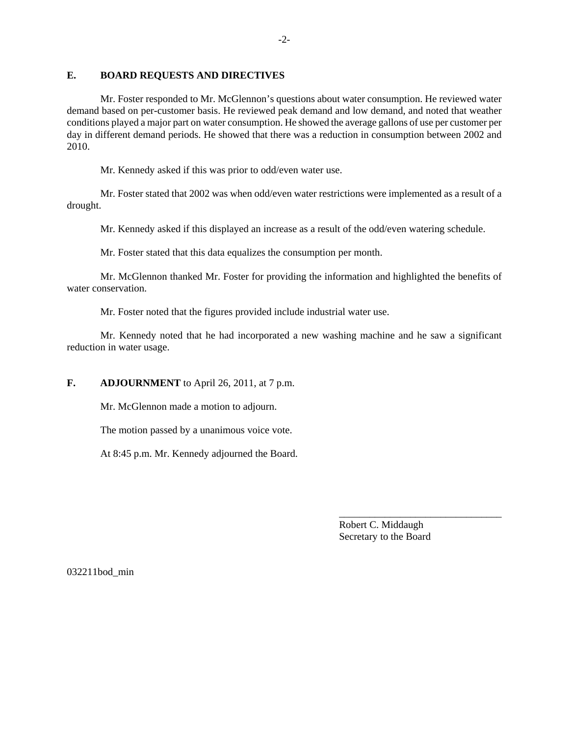#### **E. BOARD REQUESTS AND DIRECTIVES**

 Mr. Foster responded to Mr. McGlennon's questions about water consumption. He reviewed water demand based on per-customer basis. He reviewed peak demand and low demand, and noted that weather conditions played a major part on water consumption. He showed the average gallons of use per customer per day in different demand periods. He showed that there was a reduction in consumption between 2002 and 2010.

Mr. Kennedy asked if this was prior to odd/even water use.

 Mr. Foster stated that 2002 was when odd/even water restrictions were implemented as a result of a drought.

Mr. Kennedy asked if this displayed an increase as a result of the odd/even watering schedule.

Mr. Foster stated that this data equalizes the consumption per month.

 Mr. McGlennon thanked Mr. Foster for providing the information and highlighted the benefits of water conservation.

Mr. Foster noted that the figures provided include industrial water use.

 Mr. Kennedy noted that he had incorporated a new washing machine and he saw a significant reduction in water usage.

**F. ADJOURNMENT** to April 26, 2011, at 7 p.m.

Mr. McGlennon made a motion to adjourn.

The motion passed by a unanimous voice vote.

At 8:45 p.m. Mr. Kennedy adjourned the Board.

Robert C. Middaugh Secretary to the Board

\_\_\_\_\_\_\_\_\_\_\_\_\_\_\_\_\_\_\_\_\_\_\_\_\_\_\_\_\_\_\_\_

032211bod\_min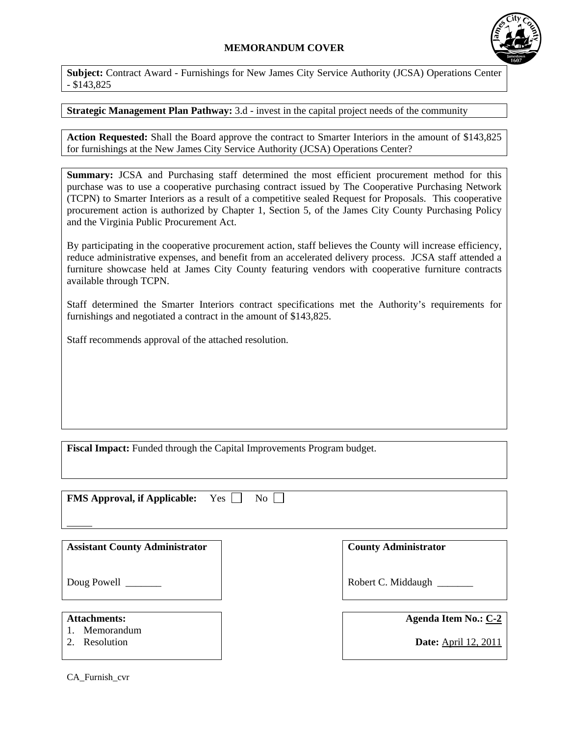## **MEMORANDUM COVER**



**Subject:** Contract Award - Furnishings for New James City Service Authority (JCSA) Operations Center - \$143,825

## **Strategic Management Plan Pathway:** 3.d - invest in the capital project needs of the community

**Action Requested:** Shall the Board approve the contract to Smarter Interiors in the amount of \$143,825 for furnishings at the New James City Service Authority (JCSA) Operations Center?

**Summary:** JCSA and Purchasing staff determined the most efficient procurement method for this purchase was to use a cooperative purchasing contract issued by The Cooperative Purchasing Network (TCPN) to Smarter Interiors as a result of a competitive sealed Request for Proposals. This cooperative procurement action is authorized by Chapter 1, Section 5, of the James City County Purchasing Policy and the Virginia Public Procurement Act.

By participating in the cooperative procurement action, staff believes the County will increase efficiency, reduce administrative expenses, and benefit from an accelerated delivery process. JCSA staff attended a furniture showcase held at James City County featuring vendors with cooperative furniture contracts available through TCPN.

Staff determined the Smarter Interiors contract specifications met the Authority's requirements for furnishings and negotiated a contract in the amount of \$143,825.

Staff recommends approval of the attached resolution.

**Fiscal Impact:** Funded through the Capital Improvements Program budget.

| <b>FMS Approval, if Applicable:</b> Yes No |  |
|--------------------------------------------|--|

| <b>Assistant County Administrator</b> | <b>County Administrator</b> |
|---------------------------------------|-----------------------------|
| Doug Powell                           | Robert C. Middaugh          |
|                                       |                             |
| <b>Attachments:</b>                   | <b>Agenda Item No.: C-2</b> |
| Memorandum                            |                             |
| Resolution                            | <b>Date:</b> April 12, 2011 |
|                                       |                             |

CA\_Furnish\_cvr

l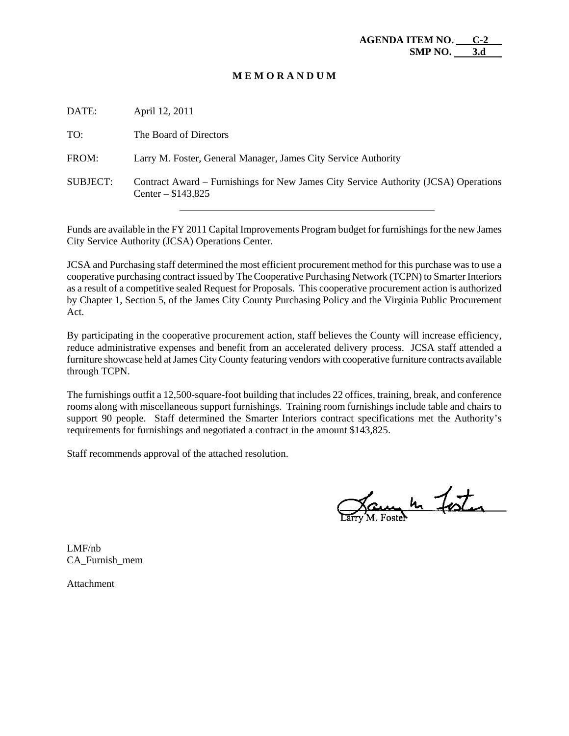### **M E M O R A N D U M**

| DATE:           | April 12, 2011                                                                                              |
|-----------------|-------------------------------------------------------------------------------------------------------------|
| TO:             | The Board of Directors                                                                                      |
| FROM:           | Larry M. Foster, General Manager, James City Service Authority                                              |
| <b>SUBJECT:</b> | Contract Award – Furnishings for New James City Service Authority (JCSA) Operations<br>Center $-$ \$143,825 |

Funds are available in the FY 2011 Capital Improvements Program budget for furnishings for the new James City Service Authority (JCSA) Operations Center.

JCSA and Purchasing staff determined the most efficient procurement method for this purchase was to use a cooperative purchasing contract issued by The Cooperative Purchasing Network (TCPN) to Smarter Interiors as a result of a competitive sealed Request for Proposals. This cooperative procurement action is authorized by Chapter 1, Section 5, of the James City County Purchasing Policy and the Virginia Public Procurement Act.

By participating in the cooperative procurement action, staff believes the County will increase efficiency, reduce administrative expenses and benefit from an accelerated delivery process. JCSA staff attended a furniture showcase held at James City County featuring vendors with cooperative furniture contracts available through TCPN.

The furnishings outfit a 12,500-square-foot building that includes 22 offices, training, break, and conference rooms along with miscellaneous support furnishings. Training room furnishings include table and chairs to support 90 people. Staff determined the Smarter Interiors contract specifications met the Authority's requirements for furnishings and negotiated a contract in the amount \$143,825.

Staff recommends approval of the attached resolution.

Farry M. Foster

LMF/nb CA\_Furnish\_mem

Attachment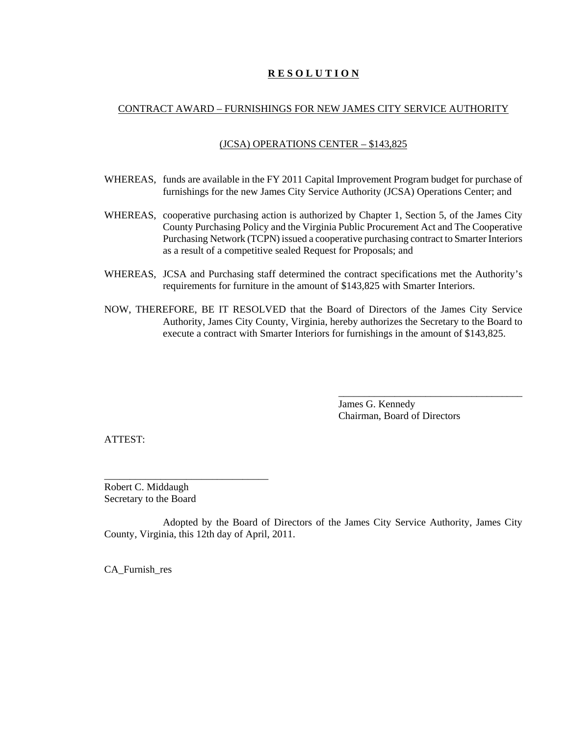## **R E S O L U T I O N**

### CONTRACT AWARD – FURNISHINGS FOR NEW JAMES CITY SERVICE AUTHORITY

### (JCSA) OPERATIONS CENTER – \$143,825

- WHEREAS, funds are available in the FY 2011 Capital Improvement Program budget for purchase of furnishings for the new James City Service Authority (JCSA) Operations Center; and
- WHEREAS, cooperative purchasing action is authorized by Chapter 1, Section 5, of the James City County Purchasing Policy and the Virginia Public Procurement Act and The Cooperative Purchasing Network (TCPN) issued a cooperative purchasing contract to Smarter Interiors as a result of a competitive sealed Request for Proposals; and
- WHEREAS, JCSA and Purchasing staff determined the contract specifications met the Authority's requirements for furniture in the amount of \$143,825 with Smarter Interiors.
- NOW, THEREFORE, BE IT RESOLVED that the Board of Directors of the James City Service Authority, James City County, Virginia, hereby authorizes the Secretary to the Board to execute a contract with Smarter Interiors for furnishings in the amount of \$143,825.

James G. Kennedy Chairman, Board of Directors

\_\_\_\_\_\_\_\_\_\_\_\_\_\_\_\_\_\_\_\_\_\_\_\_\_\_\_\_\_\_\_\_\_\_\_\_

ATTEST:

Robert C. Middaugh Secretary to the Board

\_\_\_\_\_\_\_\_\_\_\_\_\_\_\_\_\_\_\_\_\_\_\_\_\_\_\_\_\_\_\_\_

Adopted by the Board of Directors of the James City Service Authority, James City County, Virginia, this 12th day of April, 2011.

CA\_Furnish\_res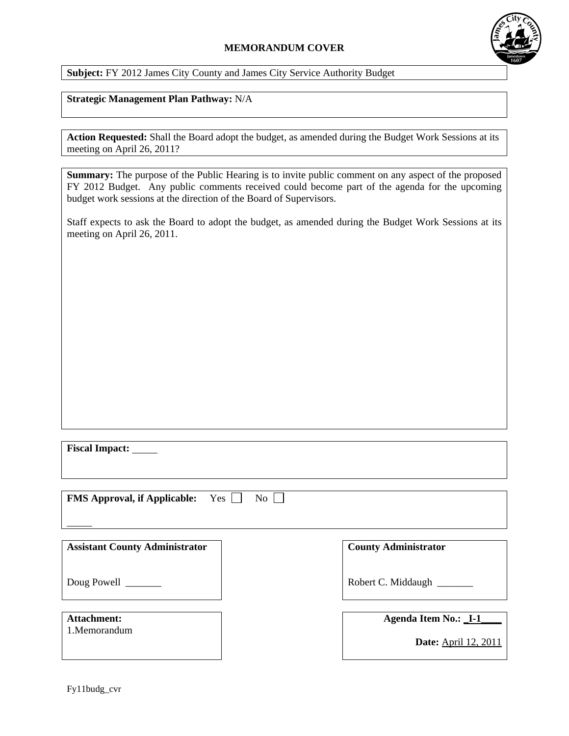### **MEMORANDUM COVER**



**Subject:** FY 2012 James City County and James City Service Authority Budget

### **Strategic Management Plan Pathway:** N/A

**Action Requested:** Shall the Board adopt the budget, as amended during the Budget Work Sessions at its meeting on April 26, 2011?

**Summary:** The purpose of the Public Hearing is to invite public comment on any aspect of the proposed FY 2012 Budget. Any public comments received could become part of the agenda for the upcoming budget work sessions at the direction of the Board of Supervisors.

Staff expects to ask the Board to adopt the budget, as amended during the Budget Work Sessions at its meeting on April 26, 2011.

**Fiscal Impact:**

| <b>FMS Approval, if Applicable:</b> Yes | No |
|-----------------------------------------|----|
|                                         |    |
|                                         |    |

| <b>Assistant County Administrator</b> | <b>County Administrator</b> |
|---------------------------------------|-----------------------------|
| Doug Powell                           | Robert C. Middaugh          |
| <b>Attachment:</b><br>1.Memorandum    | Agenda Item No.: _I-1_      |
|                                       | <b>Date:</b> April 12, 2011 |